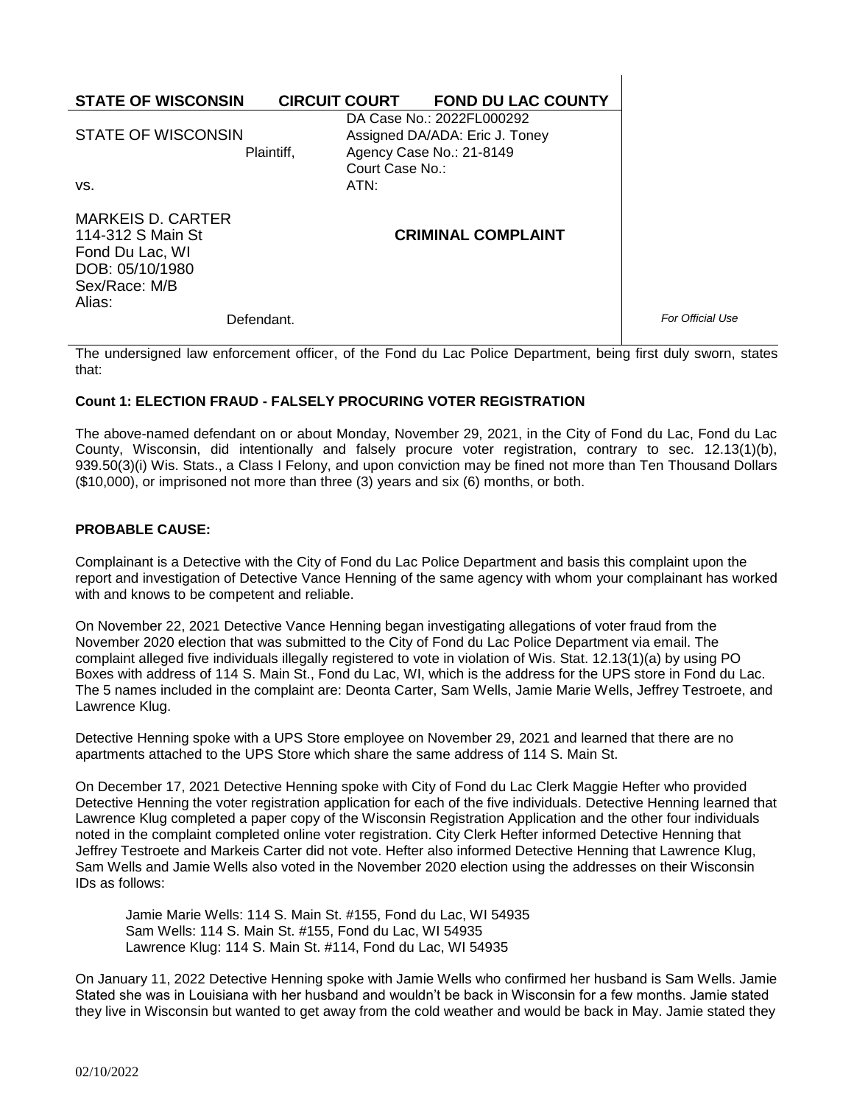| <b>STATE OF WISCONSIN</b>                                                                               | <b>CIRCUIT COURT</b>    | <b>FOND DU LAC COUNTY</b>                                                               |
|---------------------------------------------------------------------------------------------------------|-------------------------|-----------------------------------------------------------------------------------------|
| STATE OF WISCONSIN<br>Plaintiff,                                                                        |                         | DA Case No.: 2022FL000292<br>Assigned DA/ADA: Eric J. Toney<br>Agency Case No.: 21-8149 |
| VS.                                                                                                     | Court Case No.:<br>ATN: |                                                                                         |
| MARKEIS D. CARTER<br>114-312 S Main St<br>Fond Du Lac, WI<br>DOB: 05/10/1980<br>Sex/Race: M/B<br>Alias: |                         | <b>CRIMINAL COMPLAINT</b>                                                               |
| Defendant.                                                                                              |                         |                                                                                         |

The undersigned law enforcement officer, of the Fond du Lac Police Department, being first duly sworn, states that:

 $\mathbf{I}$ 

## **Count 1: ELECTION FRAUD - FALSELY PROCURING VOTER REGISTRATION**

The above-named defendant on or about Monday, November 29, 2021, in the City of Fond du Lac, Fond du Lac County, Wisconsin, did intentionally and falsely procure voter registration, contrary to sec. 12.13(1)(b), 939.50(3)(i) Wis. Stats., a Class I Felony, and upon conviction may be fined not more than Ten Thousand Dollars (\$10,000), or imprisoned not more than three (3) years and six (6) months, or both.

## **PROBABLE CAUSE:**

Complainant is a Detective with the City of Fond du Lac Police Department and basis this complaint upon the report and investigation of Detective Vance Henning of the same agency with whom your complainant has worked with and knows to be competent and reliable.

On November 22, 2021 Detective Vance Henning began investigating allegations of voter fraud from the November 2020 election that was submitted to the City of Fond du Lac Police Department via email. The complaint alleged five individuals illegally registered to vote in violation of Wis. Stat. 12.13(1)(a) by using PO Boxes with address of 114 S. Main St., Fond du Lac, WI, which is the address for the UPS store in Fond du Lac. The 5 names included in the complaint are: Deonta Carter, Sam Wells, Jamie Marie Wells, Jeffrey Testroete, and Lawrence Klug.

Detective Henning spoke with a UPS Store employee on November 29, 2021 and learned that there are no apartments attached to the UPS Store which share the same address of 114 S. Main St.

On December 17, 2021 Detective Henning spoke with City of Fond du Lac Clerk Maggie Hefter who provided Detective Henning the voter registration application for each of the five individuals. Detective Henning learned that Lawrence Klug completed a paper copy of the Wisconsin Registration Application and the other four individuals noted in the complaint completed online voter registration. City Clerk Hefter informed Detective Henning that Jeffrey Testroete and Markeis Carter did not vote. Hefter also informed Detective Henning that Lawrence Klug, Sam Wells and Jamie Wells also voted in the November 2020 election using the addresses on their Wisconsin IDs as follows:

Jamie Marie Wells: 114 S. Main St. #155, Fond du Lac, WI 54935 Sam Wells: 114 S. Main St. #155, Fond du Lac, WI 54935 Lawrence Klug: 114 S. Main St. #114, Fond du Lac, WI 54935

On January 11, 2022 Detective Henning spoke with Jamie Wells who confirmed her husband is Sam Wells. Jamie Stated she was in Louisiana with her husband and wouldn't be back in Wisconsin for a few months. Jamie stated they live in Wisconsin but wanted to get away from the cold weather and would be back in May. Jamie stated they